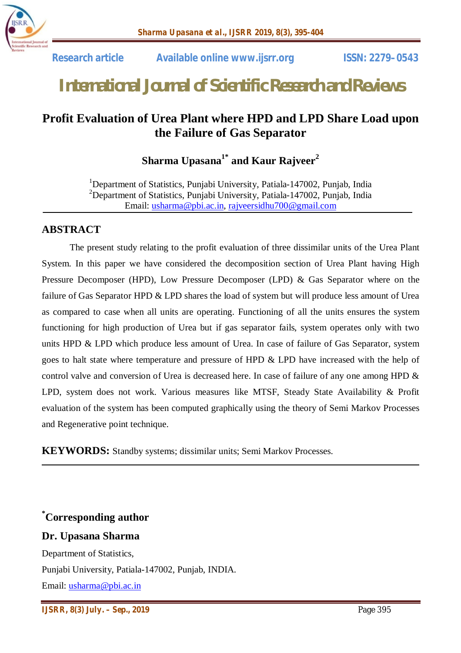

# *International Journal of Scientific Research and Reviews*

## **Profit Evaluation of Urea Plant where HPD and LPD Share Load upon the Failure of Gas Separator**

**Sharma Upasana1\* and Kaur Rajveer<sup>2</sup>**

<sup>1</sup>Department of Statistics, Punjabi University, Patiala-147002, Punjab, India <sup>2</sup>Department of Statistics, Punjabi University, Patiala-147002, Punjab, India Email: usharma@pbi.ac.in, rajveersidhu700@gmail.com

## **ABSTRACT**

The present study relating to the profit evaluation of three dissimilar units of the Urea Plant System. In this paper we have considered the decomposition section of Urea Plant having High Pressure Decomposer (HPD), Low Pressure Decomposer (LPD) & Gas Separator where on the failure of Gas Separator HPD & LPD shares the load of system but will produce less amount of Urea as compared to case when all units are operating. Functioning of all the units ensures the system functioning for high production of Urea but if gas separator fails, system operates only with two units HPD & LPD which produce less amount of Urea. In case of failure of Gas Separator, system goes to halt state where temperature and pressure of HPD & LPD have increased with the help of control valve and conversion of Urea is decreased here. In case of failure of any one among HPD & LPD, system does not work. Various measures like MTSF, Steady State Availability & Profit evaluation of the system has been computed graphically using the theory of Semi Markov Processes and Regenerative point technique.

**KEYWORDS:** Standby systems; dissimilar units; Semi Markov Processes.

**\*Corresponding author**

### **Dr. Upasana Sharma**

Department of Statistics, Punjabi University, Patiala-147002, Punjab, INDIA. Email: usharma@pbi.ac.in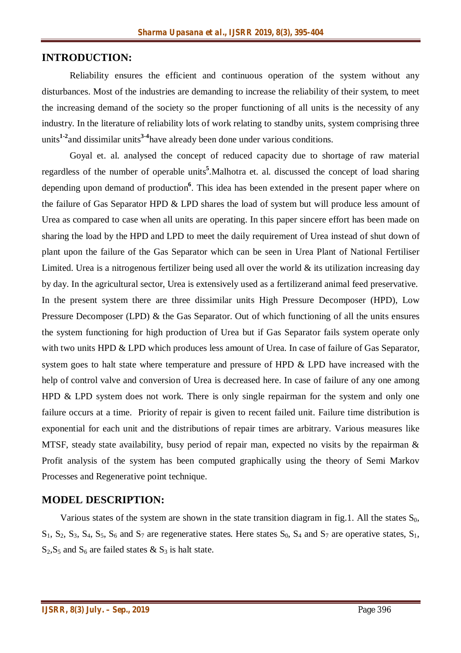### **INTRODUCTION:**

Reliability ensures the efficient and continuous operation of the system without any disturbances. Most of the industries are demanding to increase the reliability of their system, to meet the increasing demand of the society so the proper functioning of all units is the necessity of any industry. In the literature of reliability lots of work relating to standby units, system comprising three units**1-2** and dissimilar units**3-4** have already been done under various conditions.

Goyal et. al. analysed the concept of reduced capacity due to shortage of raw material regardless of the number of operable units**<sup>5</sup>** .Malhotra et. al. discussed the concept of load sharing depending upon demand of production**<sup>6</sup>** . This idea has been extended in the present paper where on the failure of Gas Separator HPD & LPD shares the load of system but will produce less amount of Urea as compared to case when all units are operating. In this paper sincere effort has been made on sharing the load by the HPD and LPD to meet the daily requirement of Urea instead of shut down of plant upon the failure of the Gas Separator which can be seen in Urea Plant of National Fertiliser Limited. Urea is a nitrogenous fertilizer being used all over the world  $\&$  its utilization increasing day by day. In the agricultural sector, Urea is extensively used as a fertilizerand animal feed preservative. In the present system there are three dissimilar units High Pressure Decomposer (HPD), Low Pressure Decomposer (LPD) & the Gas Separator. Out of which functioning of all the units ensures the system functioning for high production of Urea but if Gas Separator fails system operate only with two units HPD & LPD which produces less amount of Urea. In case of failure of Gas Separator, system goes to halt state where temperature and pressure of HPD & LPD have increased with the help of control valve and conversion of Urea is decreased here. In case of failure of any one among HPD & LPD system does not work. There is only single repairman for the system and only one failure occurs at a time. Priority of repair is given to recent failed unit. Failure time distribution is exponential for each unit and the distributions of repair times are arbitrary. Various measures like MTSF, steady state availability, busy period of repair man, expected no visits by the repairman & Profit analysis of the system has been computed graphically using the theory of Semi Markov Processes and Regenerative point technique.

#### **MODEL DESCRIPTION:**

Various states of the system are shown in the state transition diagram in fig.1. All the states  $S_0$ ,  $S_1$ ,  $S_2$ ,  $S_3$ ,  $S_4$ ,  $S_5$ ,  $S_6$  and  $S_7$  are regenerative states. Here states  $S_0$ ,  $S_4$  and  $S_7$  are operative states,  $S_1$ ,  $S_2$ ,  $S_5$  and  $S_6$  are failed states &  $S_3$  is halt state.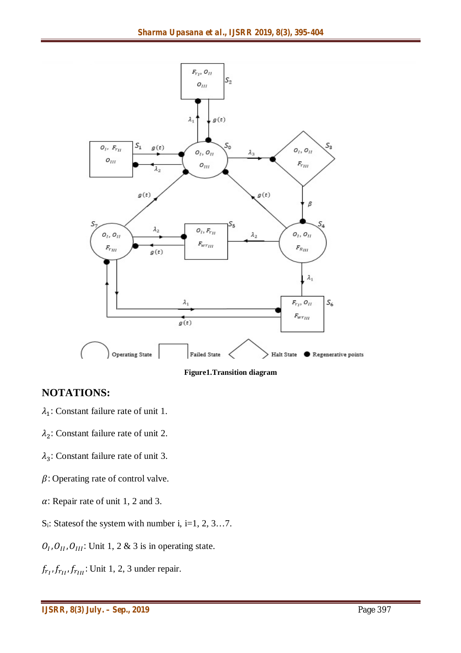

**Figure1.Transition diagram**

## **NOTATIONS:**

- $\lambda_1$ : Constant failure rate of unit 1.
- $\lambda_2$ : Constant failure rate of unit 2.
- $\lambda_3$ : Constant failure rate of unit 3.
- $\beta$ : Operating rate of control valve.
- $\alpha$ : Repair rate of unit 1, 2 and 3.
- $S_i$ : States of the system with number i, i=1, 2, 3...7.
- $O_{I}$ ,  $O_{II}$ ,  $O_{III}$ : Unit 1, 2 & 3 is in operating state.
- $f_{r_{II}}$ ,  $f_{r_{III}}$ : Unit 1, 2, 3 under repair.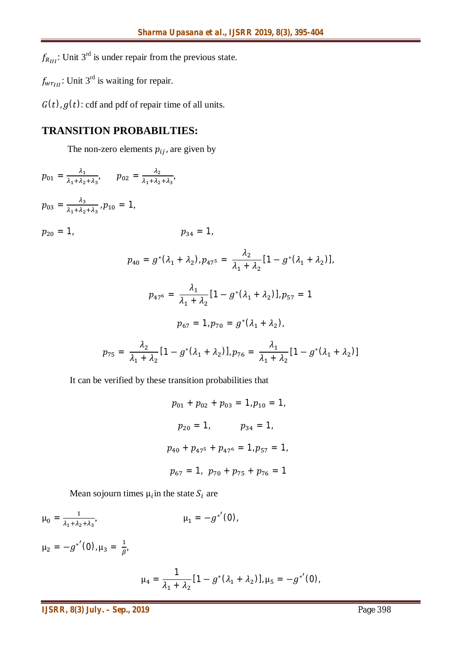$f_{R_{III}}$ : Unit 3<sup>rd</sup> is under repair from the previous state.

 $f_{w r_{III}}$ : Unit 3<sup>rd</sup> is waiting for repair.

 $G(t)$ ,  $g(t)$ : cdf and pdf of repair time of all units.

## **TRANSITION PROBABILTIES:**

The non-zero elements  $p_{ij}$ , are given by

$$
p_{01} = \frac{\lambda_1}{\lambda_1 + \lambda_2 + \lambda_3}, \quad p_{02} = \frac{\lambda_2}{\lambda_1 + \lambda_2 + \lambda_3},
$$
  
\n
$$
p_{03} = \frac{\lambda_3}{\lambda_1 + \lambda_2 + \lambda_3}, p_{10} = 1,
$$
  
\n
$$
p_{20} = 1, \quad p_{34} = 1,
$$
  
\n
$$
p_{40} = g^*(\lambda_1 + \lambda_2), p_{47} = \frac{\lambda_2}{\lambda_1 + \lambda_2} [1 - g^*(\lambda_1 + \lambda_2)],
$$
  
\n
$$
p_{47} = \frac{\lambda_1}{\lambda_1 + \lambda_2} [1 - g^*(\lambda_1 + \lambda_2)], p_{57} = 1
$$
  
\n
$$
p_{67} = 1, p_{70} = g^*(\lambda_1 + \lambda_2),
$$
  
\n
$$
p_{75} = \frac{\lambda_2}{\lambda_1 + \lambda_2} [1 - g^*(\lambda_1 + \lambda_2)], p_{76} = \frac{\lambda_1}{\lambda_1 + \lambda_2} [1 - g^*(\lambda_1 + \lambda_2)]
$$

It can be verified by these transition probabilities that

 $p_{01} + p_{02} + p_{03} = 1, p_{10} = 1,$  $p_{20} = 1,$   $p_{34} = 1,$  $p_{40} + p_{475} + p_{476} = 1, p_{57} = 1,$  $p_{67} = 1$ ,  $p_{70} + p_{75} + p_{76} = 1$ 

Mean sojourn times  $\mu_i$ in the state  $S_i$  are

$$
\mu_0 = \frac{1}{\lambda_1 + \lambda_2 + \lambda_3}, \qquad \mu_1 = -g^{*'}(0),
$$
  

$$
\mu_2 = -g^{*'}(0), \mu_3 = \frac{1}{\beta},
$$

$$
\mu_4 = \frac{1}{\lambda_1 + \lambda_2} [1 - g^* (\lambda_1 + \lambda_2)], \mu_5 = -g^{*'} (0),
$$

*IJSRR, 8(3) July. – Sep., 2019* Page 398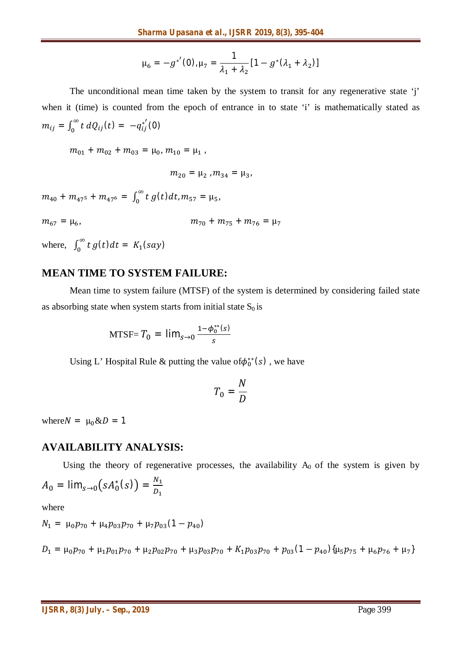$$
\mu_6 = -g^{*'}(0), \mu_7 = \frac{1}{\lambda_1 + \lambda_2} [1 - g^*(\lambda_1 + \lambda_2)]
$$

The unconditional mean time taken by the system to transit for any regenerative state 'j' when it (time) is counted from the epoch of entrance in to state 'i' is mathematically stated as  $m_{ij} = \int_0^\infty t$  $\int_0^{\infty} t \, dQ_{ij}(t) = -q_{ij}^{*'}(0)$ 

 $m_{01} + m_{02} + m_{03} = \mu_0, m_{10} = \mu_1$ 

 $m_{20} = \mu_2$ ,  $m_{34} = \mu_3$ 

 $m_{40}$  +  $m_{47^5}$  +  $m_{47^6}$  =  $\int_0^\infty t$  $\int_0^\infty t\,g(t)dt$ ,  $m_{57} = \mu_5$ ,

$$
m_{67} = \mu_6, \qquad m_{70} + m_{75} + m_{76} = \mu_7
$$

where,  $\int_0^\infty t$  $\int_0^\infty t g(t) dt = K_1(say)$ 

#### **MEAN TIME TO SYSTEM FAILURE:**

Mean time to system failure (MTSF) of the system is determined by considering failed state as absorbing state when system starts from initial state  $S_0$  is

MTSF= 
$$
T_0 = \lim_{s \to 0} \frac{1 - \phi_0^{**}(s)}{s}
$$

Using L' Hospital Rule & putting the value of  $\phi_0^{**}(s)$ , we have

$$
T_0 = \frac{N}{D}
$$

where  $N = \mu_0 \& D = 1$ 

#### **AVAILABILITY ANALYSIS:**

Using the theory of regenerative processes, the availability  $A_0$  of the system is given by

$$
A_0 = \lim_{s \to 0} \bigl( s A_0^*(s) \bigr) = \frac{N_1}{D_1}
$$

where

$$
N_1 = \mu_0 p_{70} + \mu_4 p_{03} p_{70} + \mu_7 p_{03} (1 - p_{40})
$$

 $D_1 = \mu_0 p_{70} + \mu_1 p_{01} p_{70} + \mu_2 p_{02} p_{70} + \mu_3 p_{03} p_{70} + K_1 p_{03} p_{70} + p_{03} (1 - p_{40}) \{\mu_5 p_{75} + \mu_6 p_{76} + \mu_7\}$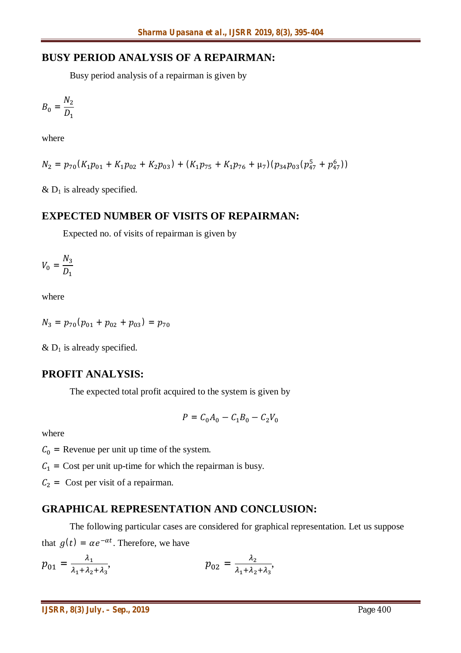## **BUSY PERIOD ANALYSIS OF A REPAIRMAN:**

Busy period analysis of a repairman is given by

$$
B_0 = \frac{N_2}{D_1}
$$

where

$$
N_2 = p_{70}(K_1p_{01} + K_1p_{02} + K_2p_{03}) + (K_1p_{75} + K_1p_{76} + \mu_7)(p_{34}p_{03}(p_{47}^5 + p_{47}^6))
$$

 $& D<sub>1</sub>$  is already specified.

## **EXPECTED NUMBER OF VISITS OF REPAIRMAN:**

Expected no. of visits of repairman is given by

$$
V_0 = \frac{N_3}{D_1}
$$

where

$$
N_3 = p_{70}(p_{01} + p_{02} + p_{03}) = p_{70}
$$

 $& D<sub>1</sub>$  is already specified.

## **PROFIT ANALYSIS:**

The expected total profit acquired to the system is given by

$$
P = C_0 A_0 - C_1 B_0 - C_2 V_0
$$

where

 $C_0$  = Revenue per unit up time of the system.

 $C_1$  = Cost per unit up-time for which the repairman is busy.

 $C_2$  = Cost per visit of a repairman.

## **GRAPHICAL REPRESENTATION AND CONCLUSION:**

The following particular cases are considered for graphical representation. Let us suppose that  $g(t) = \alpha e^{-\alpha t}$ . Therefore, we have

$$
p_{01} = \frac{\lambda_1}{\lambda_1 + \lambda_2 + \lambda_3}, \qquad p_{02} = \frac{\lambda_2}{\lambda_1 + \lambda_2 + \lambda_3},
$$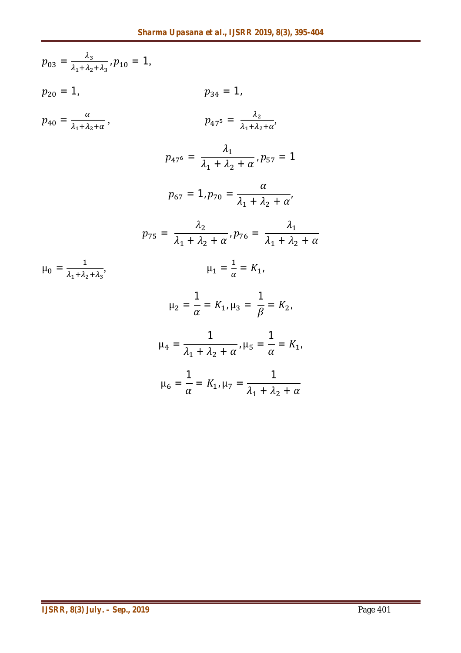$$
p_{03} = \frac{\lambda_3}{\lambda_1 + \lambda_2 + \lambda_3}, p_{10} = 1,
$$
\n
$$
p_{20} = 1, \qquad p_{34} = 1,
$$
\n
$$
p_{40} = \frac{\alpha}{\lambda_1 + \lambda_2 + \alpha}, \qquad p_{47^5} = \frac{\lambda_2}{\lambda_1 + \lambda_2 + \alpha},
$$
\n
$$
p_{47^6} = \frac{\lambda_1}{\lambda_1 + \lambda_2 + \alpha}, p_{57} = 1
$$
\n
$$
p_{67} = 1, p_{70} = \frac{\alpha}{\lambda_1 + \lambda_2 + \alpha},
$$
\n
$$
p_{75} = \frac{\lambda_2}{\lambda_1 + \lambda_2 + \alpha}, p_{76} = \frac{\lambda_1}{\lambda_1 + \lambda_2 + \alpha}
$$
\n
$$
\mu_0 = \frac{1}{\lambda_1 + \lambda_2 + \lambda_3}, \qquad \mu_1 = \frac{1}{\alpha} = K_1,
$$
\n
$$
\mu_2 = \frac{1}{\alpha} = K_1, \mu_3 = \frac{1}{\beta} = K_2,
$$
\n
$$
\mu_4 = \frac{1}{\lambda_1 + \lambda_2 + \alpha}, \mu_5 = \frac{1}{\alpha} = K_1,
$$
\n
$$
\mu_6 = \frac{1}{\alpha} = K_1, \mu_7 = \frac{1}{\lambda_1 + \lambda_2 + \alpha}
$$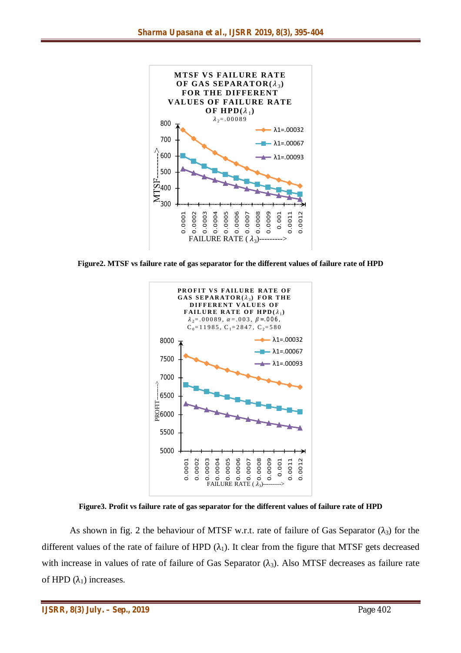

**Figure2. MTSF vs failure rate of gas separator for the different values of failure rate of HPD**



**Figure3. Profit vs failure rate of gas separator for the different values of failure rate of HPD**

As shown in fig. 2 the behaviour of MTSF w.r.t. rate of failure of Gas Separator  $(\lambda_3)$  for the different values of the rate of failure of HPD  $(\lambda_1)$ . It clear from the figure that MTSF gets decreased with increase in values of rate of failure of Gas Separator  $(\lambda_3)$ . Also MTSF decreases as failure rate of HPD  $(\lambda_1)$  increases.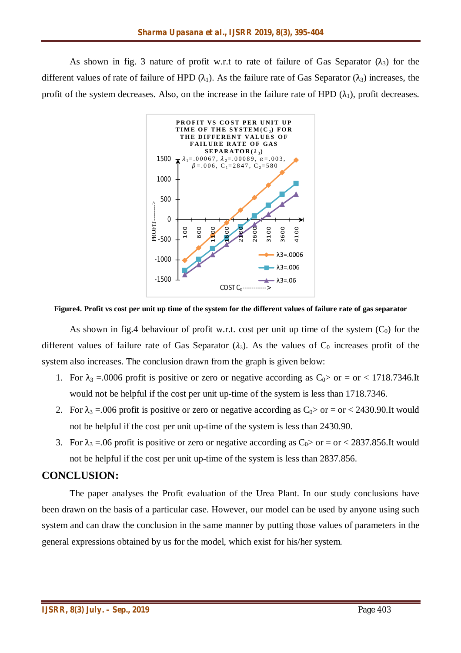As shown in fig. 3 nature of profit w.r.t to rate of failure of Gas Separator  $(\lambda_3)$  for the different values of rate of failure of HPD ( $\lambda_1$ ). As the failure rate of Gas Separator ( $\lambda_3$ ) increases, the profit of the system decreases. Also, on the increase in the failure rate of HPD  $(\lambda_1)$ , profit decreases.



#### **Figure4. Profit vs cost per unit up time of the system for the different values of failure rate of gas separator**

As shown in fig.4 behaviour of profit w.r.t. cost per unit up time of the system  $(C_0)$  for the different values of failure rate of Gas Separator  $(\lambda_3)$ . As the values of C<sub>0</sub> increases profit of the system also increases. The conclusion drawn from the graph is given below:

- 1. For  $\lambda_3 = 0.0006$  profit is positive or zero or negative according as  $C_0 >$  or = or < 1718.7346.It would not be helpful if the cost per unit up-time of the system is less than 1718.7346.
- 2. For  $\lambda_3 = 0.006$  profit is positive or zero or negative according as  $C_0 >$  or = or < 2430.90. It would not be helpful if the cost per unit up-time of the system is less than 2430.90.
- 3. For  $\lambda_3 = 0.06$  profit is positive or zero or negative according as  $C_0 >$  or  $=$  or  $<$  2837.856.It would not be helpful if the cost per unit up-time of the system is less than 2837.856.

### **CONCLUSION:**

The paper analyses the Profit evaluation of the Urea Plant. In our study conclusions have been drawn on the basis of a particular case. However, our model can be used by anyone using such system and can draw the conclusion in the same manner by putting those values of parameters in the general expressions obtained by us for the model, which exist for his/her system.